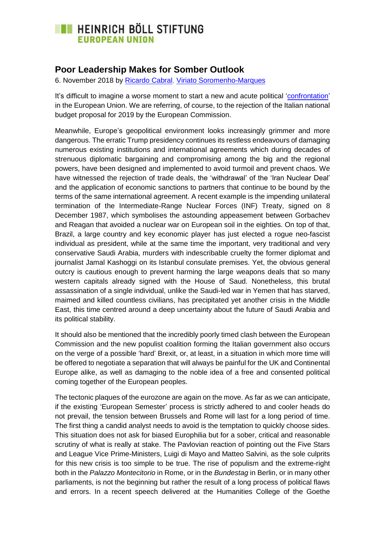## **EXECUTE HEINRICH BÖLL STIFTUNG EUROPEAN UNION**

## **Poor Leadership Makes for Somber Outlook**

6. November 2018 by [Ricardo Cabral,](https://eu.boell.org/en/person/ricardo-cabral) [Viriato Soromenho-Marques](https://eu.boell.org/en/person/viriato-soromenho-marques)

It's difficult to imagine a worse moment to start a new and acute political ['confrontation'](https://www.cnbc.com/video/2018/10/18/italys-situation-is-pretty-worrisome-dijsselbloem.html) in the European Union. We are referring, of course, to the rejection of the Italian national budget proposal for 2019 by the European Commission.

Meanwhile, Europe's geopolitical environment looks increasingly grimmer and more dangerous. The erratic Trump presidency continues its restless endeavours of damaging numerous existing institutions and international agreements which during decades of strenuous diplomatic bargaining and compromising among the big and the regional powers, have been designed and implemented to avoid turmoil and prevent chaos. We have witnessed the rejection of trade deals, the 'withdrawal' of the 'Iran Nuclear Deal' and the application of economic sanctions to partners that continue to be bound by the terms of the same international agreement. A recent example is the impending unilateral termination of the Intermediate-Range Nuclear Forces (INF) Treaty, signed on 8 December 1987, which symbolises the astounding appeasement between Gorbachev and Reagan that avoided a nuclear war on European soil in the eighties. On top of that, Brazil, a large country and key economic player has just elected a rogue neo-fascist individual as president, while at the same time the important, very traditional and very conservative Saudi Arabia, murders with indescribable cruelty the former diplomat and journalist Jamal Kashoggi on its Istanbul consulate premises. Yet, the obvious general outcry is cautious enough to prevent harming the large weapons deals that so many western capitals already signed with the House of Saud. Nonetheless, this brutal assassination of a single individual, unlike the Saudi-led war in Yemen that has starved, maimed and killed countless civilians, has precipitated yet another crisis in the Middle East, this time centred around a deep uncertainty about the future of Saudi Arabia and its political stability.

It should also be mentioned that the incredibly poorly timed clash between the European Commission and the new populist coalition forming the Italian government also occurs on the verge of a possible 'hard' Brexit, or, at least, in a situation in which more time will be offered to negotiate a separation that will always be painful for the UK and Continental Europe alike, as well as damaging to the noble idea of a free and consented political coming together of the European peoples.

The tectonic plaques of the eurozone are again on the move. As far as we can anticipate, if the existing 'European Semester' process is strictly adhered to and cooler heads do not prevail, the tension between Brussels and Rome will last for a long period of time. The first thing a candid analyst needs to avoid is the temptation to quickly choose sides. This situation does not ask for biased Europhilia but for a sober, critical and reasonable scrutiny of what is really at stake. The Pavlovian reaction of pointing out the Five Stars and League Vice Prime-Ministers, Luigi di Mayo and Matteo Salvini, as the sole culprits for this new crisis is too simple to be true. The rise of populism and the extreme-right both in the *Palazzo Montecitorio* in Rome, or in the *Bundestag* in Berlin, or in many other parliaments, is not the beginning but rather the result of a long process of political flaws and errors. In a recent speech delivered at the Humanities College of the Goethe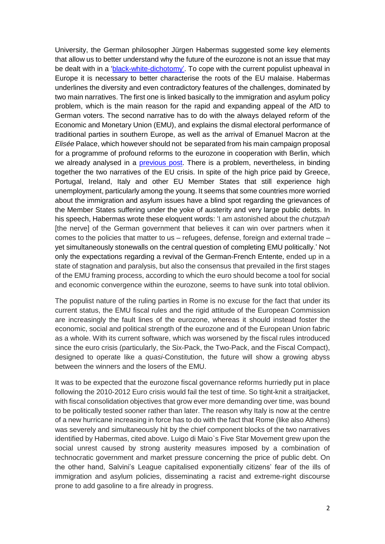University, the German philosopher Jürgen Habermas suggested some key elements that allow us to better understand why the future of the eurozone is not an issue that may be dealt with in a ['black-white-dichotomy'.](https://www.socialeurope.eu/new-perspectives-for-europe) To cope with the current populist upheaval in Europe it is necessary to better characterise the roots of the EU malaise. Habermas underlines the diversity and even contradictory features of the challenges, dominated by two main narratives. The first one is linked basically to the immigration and asylum policy problem, which is the main reason for the rapid and expanding appeal of the AfD to German voters. The second narrative has to do with the always delayed reform of the Economic and Monetary Union (EMU), and explains the dismal electoral performance of traditional parties in southern Europe, as well as the arrival of Emanuel Macron at the *Elisée* Palace, which however should not be separated from his main campaign proposal for a programme of profound reforms to the eurozone in cooperation with Berlin, which we already analysed in a [previous post.](http://eu.boell.org/en/2018/04/09/eurozone-reform-proposals-not-quite-way-forward) There is a problem, nevertheless, in binding together the two narratives of the EU crisis. In spite of the high price paid by Greece, Portugal, Ireland, Italy and other EU Member States that still experience high unemployment, particularly among the young. It seems that some countries more worried about the immigration and asylum issues have a blind spot regarding the grievances of the Member States suffering under the yoke of austerity and very large public debts. In his speech, Habermas wrote these eloquent words: 'I am astonished about the *chutzpah* [the nerve] of the German government that believes it can win over partners when it comes to the policies that matter to us – refugees, defense, foreign and external trade – yet simultaneously stonewalls on the central question of completing EMU politically.' Not only the expectations regarding a revival of the German-French Entente, ended up in a state of stagnation and paralysis, but also the consensus that prevailed in the first stages of the EMU framing process, according to which the euro should become a tool for social and economic convergence within the eurozone, seems to have sunk into total oblivion.

The populist nature of the ruling parties in Rome is no excuse for the fact that under its current status, the EMU fiscal rules and the rigid attitude of the European Commission are increasingly the fault lines of the eurozone, whereas it should instead foster the economic, social and political strength of the eurozone and of the European Union fabric as a whole. With its current software, which was worsened by the fiscal rules introduced since the euro crisis (particularly, the Six-Pack, the Two-Pack, and the Fiscal Compact), designed to operate like a *quasi*-Constitution, the future will show a growing abyss between the winners and the losers of the EMU.

It was to be expected that the eurozone fiscal governance reforms hurriedly put in place following the 2010-2012 Euro crisis would fail the test of time. So tight-knit a straitjacket, with fiscal consolidation objectives that grow ever more demanding over time, was bound to be politically tested sooner rather than later. The reason why Italy is now at the centre of a new hurricane increasing in force has to do with the fact that Rome (like also Athens) was severely and simultaneously hit by the chief component blocks of the two narratives identified by Habermas, cited above. Luigo di Maio`s Five Star Movement grew upon the social unrest caused by strong austerity measures imposed by a combination of technocratic government and market pressure concerning the price of public debt. On the other hand, Salvini's League capitalised exponentially citizens' fear of the ills of immigration and asylum policies, disseminating a racist and extreme-right discourse prone to add gasoline to a fire already in progress.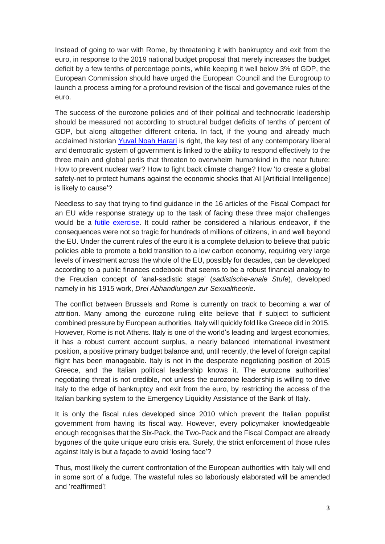Instead of going to war with Rome, by threatening it with bankruptcy and exit from the euro, in response to the 2019 national budget proposal that merely increases the budget deficit by a few tenths of percentage points, while keeping it well below 3% of GDP, the European Commission should have urged the European Council and the Eurogroup to launch a process aiming for a profound revision of the fiscal and governance rules of the euro.

The success of the eurozone policies and of their political and technocratic leadership should be measured not according to structural budget deficits of tenths of percent of GDP, but along altogether different criteria. In fact, if the young and already much acclaimed historian [Yuval Noah Harari](https://www.economist.com/open-future/2018/09/26/we-need-a-post-liberal-order-now) is right, the key test of any contemporary liberal and democratic system of government is linked to the ability to respond effectively to the three main and global perils that threaten to overwhelm humankind in the near future: How to prevent nuclear war? How to fight back climate change? How 'to create a global safety-net to protect humans against the economic shocks that AI [Artificial Intelligence] is likely to cause'?

Needless to say that trying to find guidance in the 16 articles of the Fiscal Compact for an EU wide response strategy up to the task of facing these three major challenges would be a [futile exercise.](https://www.consilium.europa.eu/media/20399/st00tscg26_en12.pdf) It could rather be considered a hilarious endeavor, if the consequences were not so tragic for hundreds of millions of citizens, in and well beyond the EU. Under the current rules of the euro it is a complete delusion to believe that public policies able to promote a bold transition to a low carbon economy, requiring very large levels of investment across the whole of the EU, possibly for decades, can be developed according to a public finances codebook that seems to be a robust financial analogy to the Freudian concept of 'anal-sadistic stage' (*sadistische-anale Stufe*), developed namely in his 1915 work, *Drei Abhandlungen zur Sexualtheorie*.

The conflict between Brussels and Rome is currently on track to becoming a war of attrition. Many among the eurozone ruling elite believe that if subject to sufficient combined pressure by European authorities, Italy will quickly fold like Greece did in 2015. However, Rome is not Athens. Italy is one of the world's leading and largest economies, it has a robust current account surplus, a nearly balanced international investment position, a positive primary budget balance and, until recently, the level of foreign capital flight has been manageable. Italy is not in the desperate negotiating position of 2015 Greece, and the Italian political leadership knows it. The eurozone authorities' negotiating threat is not credible, not unless the eurozone leadership is willing to drive Italy to the edge of bankruptcy and exit from the euro, by restricting the access of the Italian banking system to the Emergency Liquidity Assistance of the Bank of Italy.

It is only the fiscal rules developed since 2010 which prevent the Italian populist government from having its fiscal way. However, every policymaker knowledgeable enough recognises that the Six-Pack, the Two-Pack and the Fiscal Compact are already bygones of the quite unique euro crisis era. Surely, the strict enforcement of those rules against Italy is but a façade to avoid 'losing face'?

Thus, most likely the current confrontation of the European authorities with Italy will end in some sort of a fudge. The wasteful rules so laboriously elaborated will be amended and 'reaffirmed'!